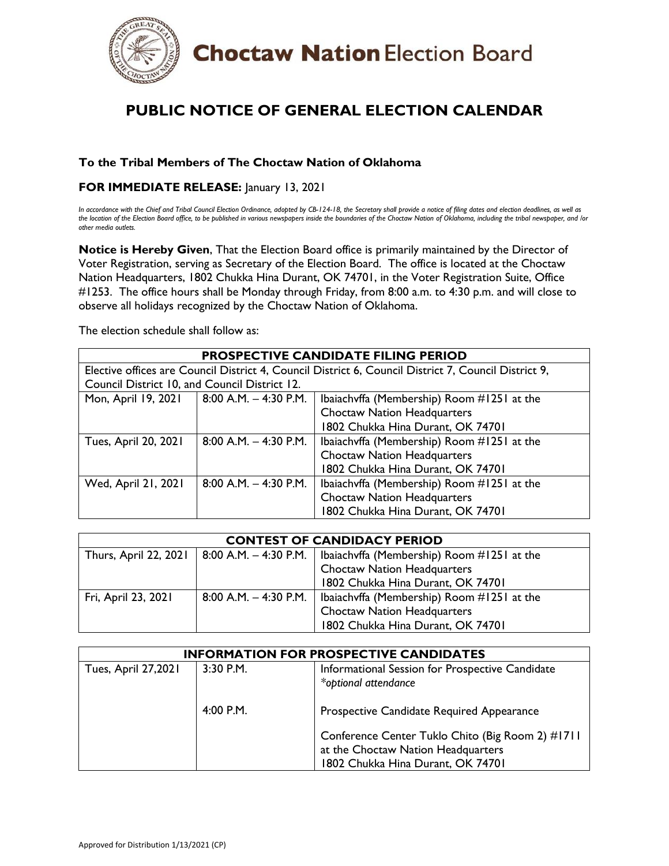

## **PUBLIC NOTICE OF GENERAL ELECTION CALENDAR**

## **To the Tribal Members of The Choctaw Nation of Oklahoma**

## **FOR IMMEDIATE RELEASE:** January 13, 2021

*In accordance with the Chief and Tribal Council Election Ordinance, adopted by CB-124-18, the Secretary shall provide a notice of filing dates and election deadlines, as well as the location of the Election Board office, to be published in various newspapers inside the boundaries of the Choctaw Nation of Oklahoma, including the tribal newspaper, and /or other media outlets.* 

**Notice is Hereby Given**, That the Election Board office is primarily maintained by the Director of Voter Registration, serving as Secretary of the Election Board. The office is located at the Choctaw Nation Headquarters, 1802 Chukka Hina Durant, OK 74701, in the Voter Registration Suite, Office #1253. The office hours shall be Monday through Friday, from 8:00 a.m. to 4:30 p.m. and will close to observe all holidays recognized by the Choctaw Nation of Oklahoma.

The election schedule shall follow as:

| <b>PROSPECTIVE CANDIDATE FILING PERIOD</b>                                                           |                           |                                            |  |  |
|------------------------------------------------------------------------------------------------------|---------------------------|--------------------------------------------|--|--|
| Elective offices are Council District 4, Council District 6, Council District 7, Council District 9, |                           |                                            |  |  |
| Council District 10, and Council District 12.                                                        |                           |                                            |  |  |
| Mon, April 19, 2021                                                                                  | $  8:00 A.M. - 4:30 P.M.$ | Ibaiachvffa (Membership) Room #1251 at the |  |  |
|                                                                                                      |                           | <b>Choctaw Nation Headquarters</b>         |  |  |
|                                                                                                      |                           | 1802 Chukka Hina Durant, OK 74701          |  |  |
| Tues, April 20, 2021                                                                                 | $8:00$ A.M. $-$ 4:30 P.M. | Ibaiachyffa (Membership) Room #1251 at the |  |  |
|                                                                                                      |                           | <b>Choctaw Nation Headquarters</b>         |  |  |
|                                                                                                      |                           | 1802 Chukka Hina Durant, OK 74701          |  |  |
| Wed, April 21, 2021                                                                                  | $8:00$ A.M. $-$ 4:30 P.M. | Ibaiachvffa (Membership) Room #1251 at the |  |  |
|                                                                                                      |                           | <b>Choctaw Nation Headquarters</b>         |  |  |
|                                                                                                      |                           | 1802 Chukka Hina Durant, OK 74701          |  |  |

| <b>CONTEST OF CANDIDACY PERIOD</b> |  |                                                                      |  |
|------------------------------------|--|----------------------------------------------------------------------|--|
| Thurs, April 22, 2021              |  | 8:00 A.M. $-$ 4:30 P.M.   Ibaiachvffa (Membership) Room #1251 at the |  |
|                                    |  | <b>Choctaw Nation Headquarters</b>                                   |  |
|                                    |  | 1802 Chukka Hina Durant, OK 74701                                    |  |
| Fri, April 23, 2021                |  | 8:00 A.M. $-$ 4:30 P.M.   Ibaiachvffa (Membership) Room #1251 at the |  |
|                                    |  | <b>Choctaw Nation Headquarters</b>                                   |  |
|                                    |  | 1802 Chukka Hina Durant, OK 74701                                    |  |

| <b>INFORMATION FOR PROSPECTIVE CANDIDATES</b> |           |                                                                                                                             |  |
|-----------------------------------------------|-----------|-----------------------------------------------------------------------------------------------------------------------------|--|
| <b>Tues, April 27,2021</b>                    | 3:30 P.M. | Informational Session for Prospective Candidate<br>*optional attendance                                                     |  |
|                                               | 4:00 P.M. | Prospective Candidate Required Appearance                                                                                   |  |
|                                               |           | Conference Center Tuklo Chito (Big Room 2) #1711<br>at the Choctaw Nation Headquarters<br>1802 Chukka Hina Durant, OK 74701 |  |